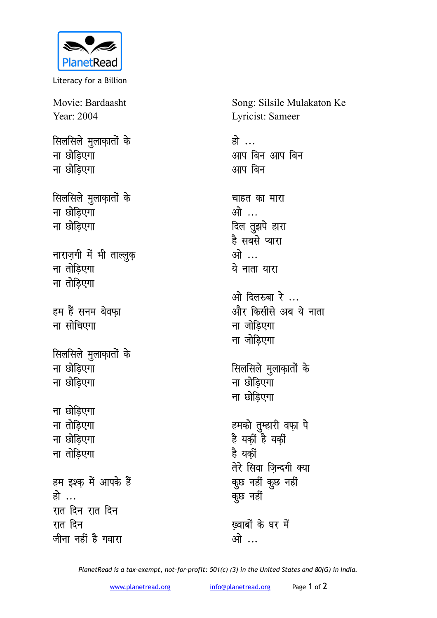

Literacy for a Billion

Movie: Bardaasht Year: 2004

**सिलसिले** मुलाकातों के **ना छोड़िएगा ना छोडिएगा** 

*सिलसिले मुलाक़ातों के* **ना छोडिएगा ना छोडिएगा** 

**नाराज़गी में भी ताल्लुक़ ना** तोडिएगा **ना** तोडिएगा

हम हैं सनम बेवफ़ा **had** *u* and *a ulta* 

**सिलसिले** मुलाक़ातों के **ना छोडिएगा ना छोडिएगा** 

**ना छोड़िएगा ना** तोडिएगा **ना छोडिएगा ना** तोडिएगा हम इश्क़ में आपके हैं हो … <u>रात दिन रात दिन</u> रात दिन

जीना नहीं है गवारा

Song: Silsile Mulakaton Ke Lyricist: Sameer

हो … आप बिन आप बिन आप बिन

चाहत का मारा <u>ओ ...</u> दिल तुझपे हारा है सबसे प्यारा <u>भो ...</u> ये नाता यारा

<u>ओ</u> दिलरुबा रे ... और किसीसे अब ये नाता **ना** जोड़िएगा **ना** जोड़िएगा

**सिलसिले** मुलाक़ातों के **ना छोडिएगा ना छोडिएगा** 

हमको तुम्हारी वफ़ा पे है यकीं है यकीं है यकीं तेरे सिवा ज़िन्दगी क्या कूछ नहीं कुछ नहीं कूछ नहीं

ख़्वाबों के घर में <u>ओे</u>…

*PlanetRead is a tax-exempt, not-for-profit: 501(c) (3) in the United States and 80(G) in India.*